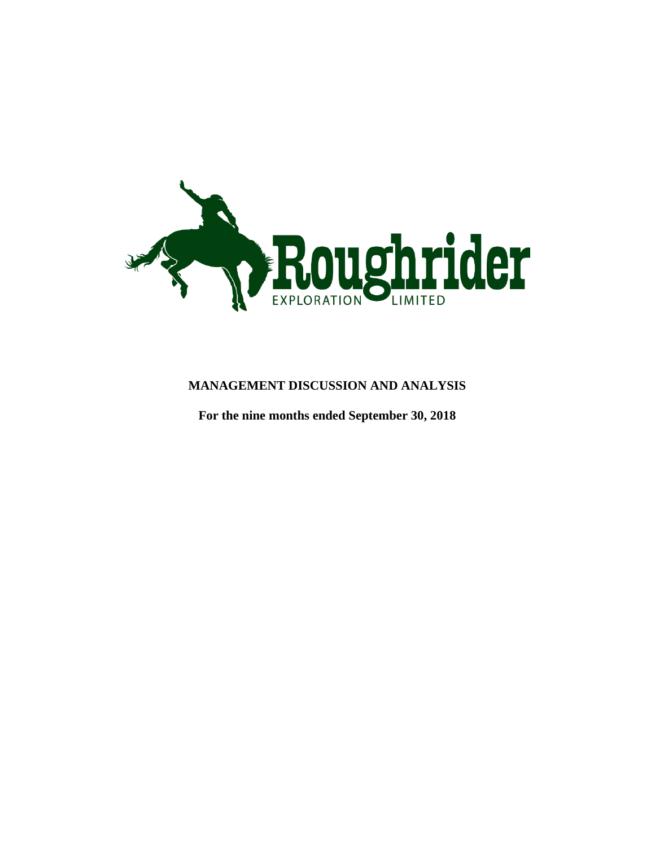

# **MANAGEMENT DISCUSSION AND ANALYSIS**

**For the nine months ended September 30, 2018**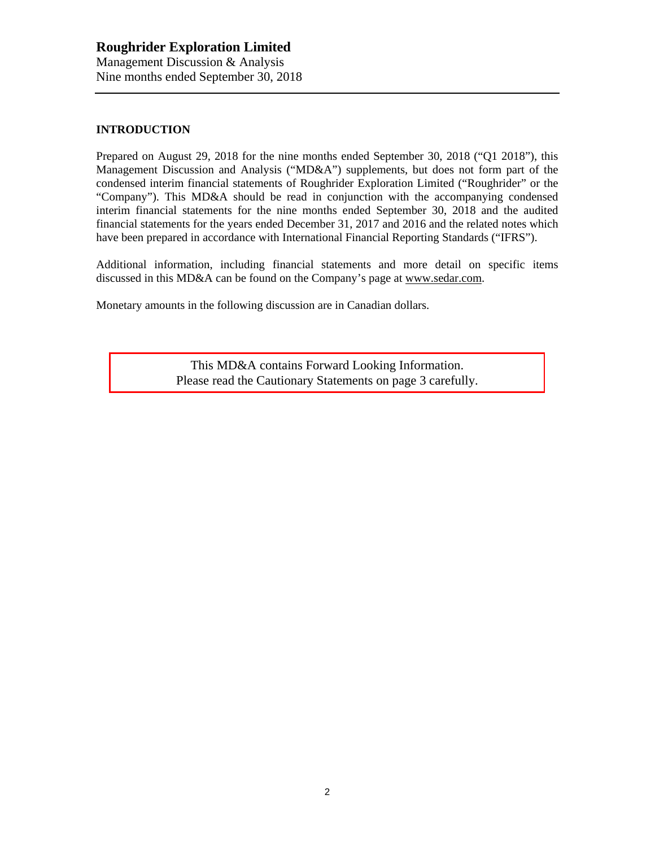### **INTRODUCTION**

Prepared on August 29, 2018 for the nine months ended September 30, 2018 ("Q1 2018"), this Management Discussion and Analysis ("MD&A") supplements, but does not form part of the condensed interim financial statements of Roughrider Exploration Limited ("Roughrider" or the "Company"). This MD&A should be read in conjunction with the accompanying condensed interim financial statements for the nine months ended September 30, 2018 and the audited financial statements for the years ended December 31, 2017 and 2016 and the related notes which have been prepared in accordance with International Financial Reporting Standards ("IFRS").

Additional information, including financial statements and more detail on specific items discussed in this MD&A can be found on the Company's page at [www.sedar.com.](http://www.sedar.com/)

Monetary amounts in the following discussion are in Canadian dollars.

This MD&A contains Forward Looking Information. Please read the Cautionary Statements on page 3 carefully.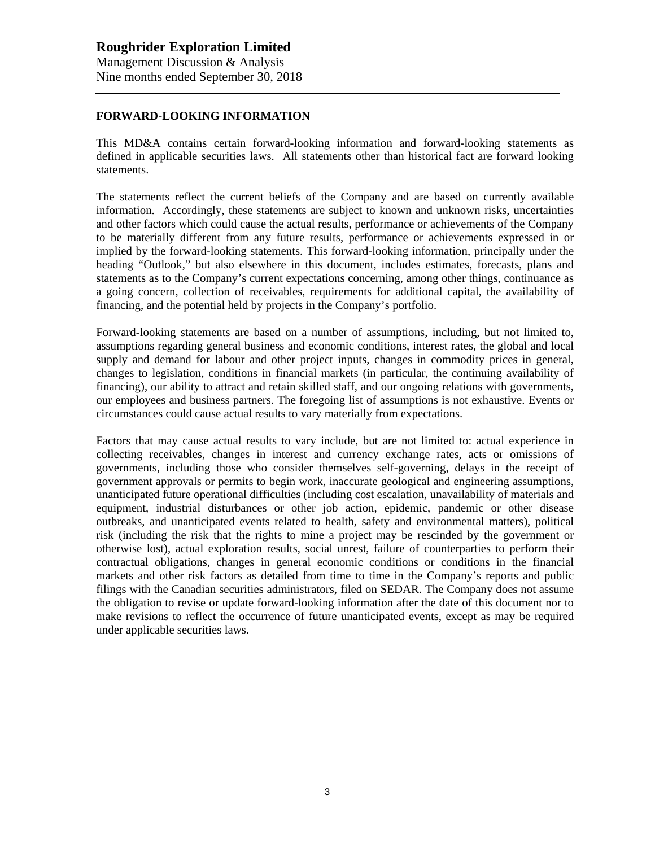#### **FORWARD-LOOKING INFORMATION**

This MD&A contains certain forward-looking information and forward-looking statements as defined in applicable securities laws. All statements other than historical fact are forward looking statements.

The statements reflect the current beliefs of the Company and are based on currently available information. Accordingly, these statements are subject to known and unknown risks, uncertainties and other factors which could cause the actual results, performance or achievements of the Company to be materially different from any future results, performance or achievements expressed in or implied by the forward-looking statements. This forward-looking information, principally under the heading "Outlook," but also elsewhere in this document, includes estimates, forecasts, plans and statements as to the Company's current expectations concerning, among other things, continuance as a going concern, collection of receivables, requirements for additional capital, the availability of financing, and the potential held by projects in the Company's portfolio.

Forward-looking statements are based on a number of assumptions, including, but not limited to, assumptions regarding general business and economic conditions, interest rates, the global and local supply and demand for labour and other project inputs, changes in commodity prices in general, changes to legislation, conditions in financial markets (in particular, the continuing availability of financing), our ability to attract and retain skilled staff, and our ongoing relations with governments, our employees and business partners. The foregoing list of assumptions is not exhaustive. Events or circumstances could cause actual results to vary materially from expectations.

Factors that may cause actual results to vary include, but are not limited to: actual experience in collecting receivables, changes in interest and currency exchange rates, acts or omissions of governments, including those who consider themselves self-governing, delays in the receipt of government approvals or permits to begin work, inaccurate geological and engineering assumptions, unanticipated future operational difficulties (including cost escalation, unavailability of materials and equipment, industrial disturbances or other job action, epidemic, pandemic or other disease outbreaks, and unanticipated events related to health, safety and environmental matters), political risk (including the risk that the rights to mine a project may be rescinded by the government or otherwise lost), actual exploration results, social unrest, failure of counterparties to perform their contractual obligations, changes in general economic conditions or conditions in the financial markets and other risk factors as detailed from time to time in the Company's reports and public filings with the Canadian securities administrators, filed on SEDAR. The Company does not assume the obligation to revise or update forward-looking information after the date of this document nor to make revisions to reflect the occurrence of future unanticipated events, except as may be required under applicable securities laws.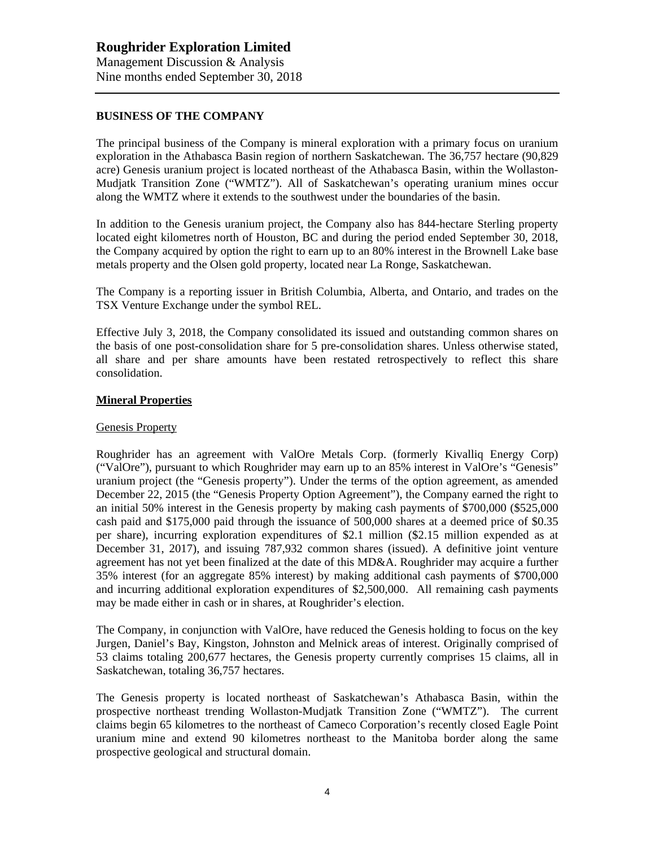#### **BUSINESS OF THE COMPANY**

The principal business of the Company is mineral exploration with a primary focus on uranium exploration in the Athabasca Basin region of northern Saskatchewan. The 36,757 hectare (90,829 acre) Genesis uranium project is located northeast of the Athabasca Basin, within the Wollaston-Mudjatk Transition Zone ("WMTZ"). All of Saskatchewan's operating uranium mines occur along the WMTZ where it extends to the southwest under the boundaries of the basin.

In addition to the Genesis uranium project, the Company also has 844-hectare Sterling property located eight kilometres north of Houston, BC and during the period ended September 30, 2018, the Company acquired by option the right to earn up to an 80% interest in the Brownell Lake base metals property and the Olsen gold property, located near La Ronge, Saskatchewan.

The Company is a reporting issuer in British Columbia, Alberta, and Ontario, and trades on the TSX Venture Exchange under the symbol REL.

Effective July 3, 2018, the Company consolidated its issued and outstanding common shares on the basis of one post-consolidation share for 5 pre-consolidation shares. Unless otherwise stated, all share and per share amounts have been restated retrospectively to reflect this share consolidation.

#### **Mineral Properties**

#### Genesis Property

Roughrider has an agreement with ValOre Metals Corp. (formerly Kivalliq Energy Corp) ("ValOre"), pursuant to which Roughrider may earn up to an 85% interest in ValOre's "Genesis" uranium project (the "Genesis property"). Under the terms of the option agreement, as amended December 22, 2015 (the "Genesis Property Option Agreement"), the Company earned the right to an initial 50% interest in the Genesis property by making cash payments of \$700,000 (\$525,000 cash paid and \$175,000 paid through the issuance of 500,000 shares at a deemed price of \$0.35 per share), incurring exploration expenditures of \$2.1 million (\$2.15 million expended as at December 31, 2017), and issuing 787,932 common shares (issued). A definitive joint venture agreement has not yet been finalized at the date of this MD&A. Roughrider may acquire a further 35% interest (for an aggregate 85% interest) by making additional cash payments of \$700,000 and incurring additional exploration expenditures of \$2,500,000. All remaining cash payments may be made either in cash or in shares, at Roughrider's election.

The Company, in conjunction with ValOre, have reduced the Genesis holding to focus on the key Jurgen, Daniel's Bay, Kingston, Johnston and Melnick areas of interest. Originally comprised of 53 claims totaling 200,677 hectares, the Genesis property currently comprises 15 claims, all in Saskatchewan, totaling 36,757 hectares.

The Genesis property is located northeast of Saskatchewan's Athabasca Basin, within the prospective northeast trending Wollaston-Mudjatk Transition Zone ("WMTZ"). The current claims begin 65 kilometres to the northeast of Cameco Corporation's recently closed Eagle Point uranium mine and extend 90 kilometres northeast to the Manitoba border along the same prospective geological and structural domain.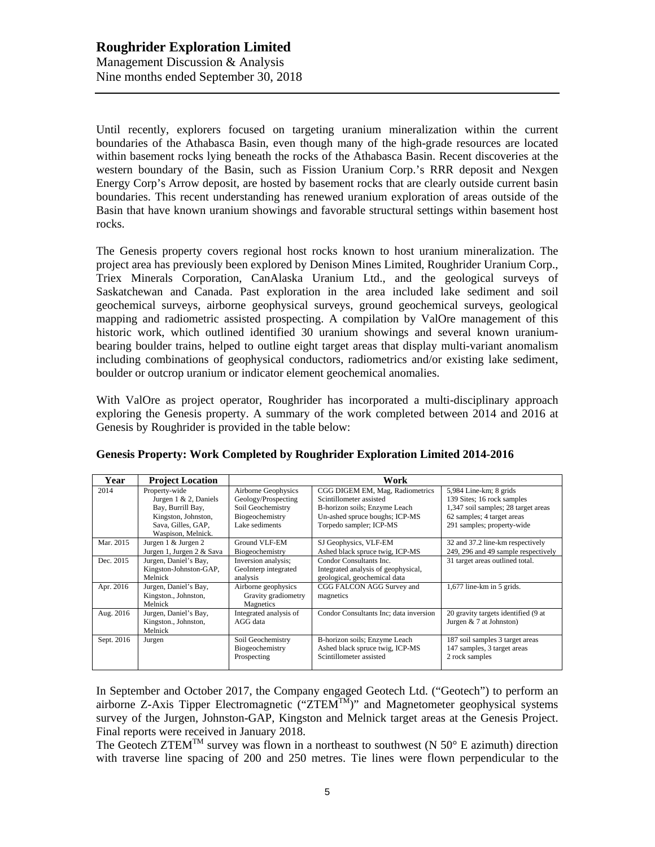Until recently, explorers focused on targeting uranium mineralization within the current boundaries of the Athabasca Basin, even though many of the high-grade resources are located within basement rocks lying beneath the rocks of the Athabasca Basin. Recent discoveries at the western boundary of the Basin, such as Fission Uranium Corp.'s RRR deposit and Nexgen Energy Corp's Arrow deposit, are hosted by basement rocks that are clearly outside current basin boundaries. This recent understanding has renewed uranium exploration of areas outside of the Basin that have known uranium showings and favorable structural settings within basement host rocks.

The Genesis property covers regional host rocks known to host uranium mineralization. The project area has previously been explored by Denison Mines Limited, Roughrider Uranium Corp., Triex Minerals Corporation, CanAlaska Uranium Ltd., and the geological surveys of Saskatchewan and Canada. Past exploration in the area included lake sediment and soil geochemical surveys, airborne geophysical surveys, ground geochemical surveys, geological mapping and radiometric assisted prospecting. A compilation by ValOre management of this historic work, which outlined identified 30 uranium showings and several known uraniumbearing boulder trains, helped to outline eight target areas that display multi-variant anomalism including combinations of geophysical conductors, radiometrics and/or existing lake sediment, boulder or outcrop uranium or indicator element geochemical anomalies.

With ValOre as project operator, Roughrider has incorporated a multi-disciplinary approach exploring the Genesis property. A summary of the work completed between 2014 and 2016 at Genesis by Roughrider is provided in the table below:

| Year       | <b>Project Location</b>                                                                                                            | Work                                                                                                        |                                                                                                                                                          |                                                                                                                                                           |  |
|------------|------------------------------------------------------------------------------------------------------------------------------------|-------------------------------------------------------------------------------------------------------------|----------------------------------------------------------------------------------------------------------------------------------------------------------|-----------------------------------------------------------------------------------------------------------------------------------------------------------|--|
| 2014       | Property-wide<br>Jurgen $1 \& 2$ , Daniels<br>Bay, Burrill Bay,<br>Kingston, Johnston,<br>Sava, Gilles, GAP,<br>Waspison, Melnick. | <b>Airborne Geophysics</b><br>Geology/Prospecting<br>Soil Geochemistry<br>Biogeochemistry<br>Lake sediments | CGG DIGEM EM, Mag, Radiometrics<br>Scintillometer assisted<br>B-horizon soils; Enzyme Leach<br>Un-ashed spruce boughs; ICP-MS<br>Torpedo sampler; ICP-MS | $5,984$ Line-km; 8 grids<br>139 Sites; 16 rock samples<br>1,347 soil samples; 28 target areas<br>62 samples; 4 target areas<br>291 samples; property-wide |  |
| Mar. 2015  | Jurgen 1 & Jurgen 2<br>Jurgen 1, Jurgen 2 & Sava                                                                                   | Ground VLF-EM<br>Biogeochemistry                                                                            | SJ Geophysics, VLF-EM<br>Ashed black spruce twig, ICP-MS                                                                                                 | 32 and 37.2 line-km respectively<br>249, 296 and 49 sample respectively                                                                                   |  |
| Dec. 2015  | Jurgen, Daniel's Bay,<br>Kingston-Johnston-GAP,<br>Melnick                                                                         | Inversion analysis;<br>GeoInterp integrated<br>analysis                                                     | Condor Consultants Inc.<br>Integrated analysis of geophysical,<br>geological, geochemical data                                                           | 31 target areas outlined total.                                                                                                                           |  |
| Apr. 2016  | Jurgen, Daniel's Bay,<br>Kingston., Johnston,<br>Melnick                                                                           | Airborne geophysics<br>Gravity gradiometry<br>Magnetics                                                     | CGG FALCON AGG Survey and<br>magnetics                                                                                                                   | $1,677$ line-km in 5 grids.                                                                                                                               |  |
| Aug. 2016  | Jurgen, Daniel's Bay,<br>Kingston., Johnston,<br>Melnick                                                                           | Integrated analysis of<br>AGG data                                                                          | Condor Consultants Inc; data inversion                                                                                                                   | 20 gravity targets identified (9 at<br>Jurgen $& 7$ at Johnston)                                                                                          |  |
| Sept. 2016 | Jurgen                                                                                                                             | Soil Geochemistry<br>Biogeochemistry<br>Prospecting                                                         | B-horizon soils; Enzyme Leach<br>Ashed black spruce twig, ICP-MS<br>Scintillometer assisted                                                              | 187 soil samples 3 target areas<br>147 samples, 3 target areas<br>2 rock samples                                                                          |  |

### **Genesis Property: Work Completed by Roughrider Exploration Limited 2014-2016**

In September and October 2017, the Company engaged Geotech Ltd. ("Geotech") to perform an airborne Z-Axis Tipper Electromagnetic (" $ZTEM^{TM}$ " and Magnetometer geophysical systems survey of the Jurgen, Johnston-GAP, Kingston and Melnick target areas at the Genesis Project. Final reports were received in January 2018.

The Geotech ZTEM<sup>TM</sup> survey was flown in a northeast to southwest (N 50 $\degree$  E azimuth) direction with traverse line spacing of 200 and 250 metres. Tie lines were flown perpendicular to the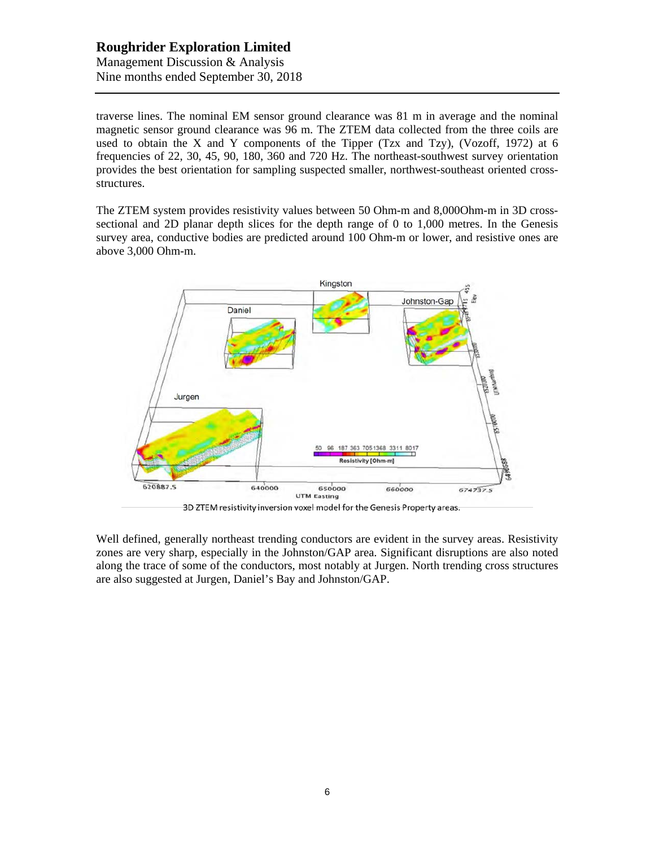# **Roughrider Exploration Limited** Management Discussion & Analysis

Nine months ended September 30, 2018

traverse lines. The nominal EM sensor ground clearance was 81 m in average and the nominal magnetic sensor ground clearance was 96 m. The ZTEM data collected from the three coils are used to obtain the X and Y components of the Tipper (Tzx and Tzy), (Vozoff, 1972) at 6 frequencies of 22, 30, 45, 90, 180, 360 and 720 Hz. The northeast-southwest survey orientation provides the best orientation for sampling suspected smaller, northwest-southeast oriented crossstructures.

The ZTEM system provides resistivity values between 50 Ohm-m and 8,000Ohm-m in 3D crosssectional and 2D planar depth slices for the depth range of 0 to 1,000 metres. In the Genesis survey area, conductive bodies are predicted around 100 Ohm-m or lower, and resistive ones are above 3,000 Ohm-m.



Well defined, generally northeast trending conductors are evident in the survey areas. Resistivity zones are very sharp, especially in the Johnston/GAP area. Significant disruptions are also noted along the trace of some of the conductors, most notably at Jurgen. North trending cross structures are also suggested at Jurgen, Daniel's Bay and Johnston/GAP.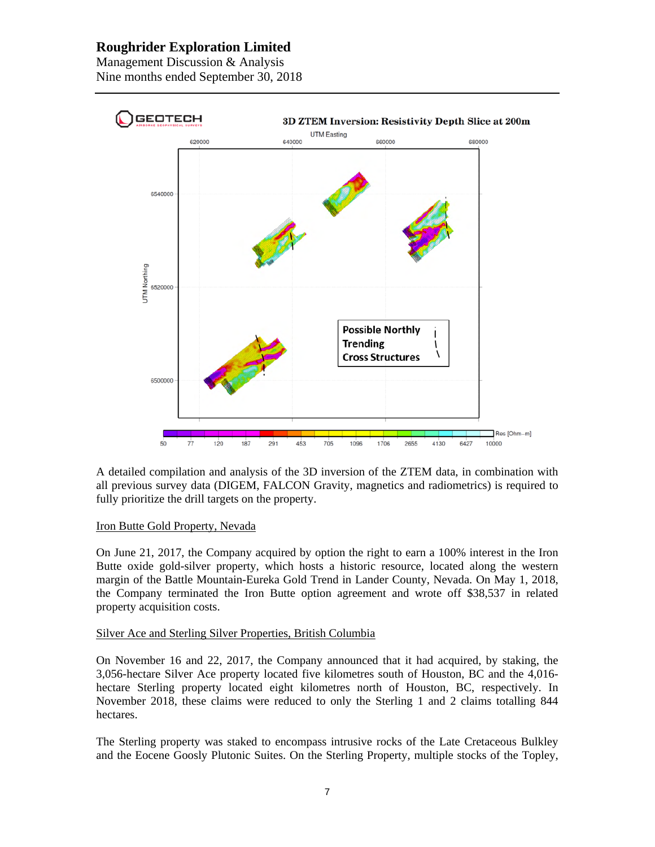# **Roughrider Exploration Limited**

Management Discussion & Analysis Nine months ended September 30, 2018



A detailed compilation and analysis of the 3D inversion of the ZTEM data, in combination with all previous survey data (DIGEM, FALCON Gravity, magnetics and radiometrics) is required to fully prioritize the drill targets on the property.

### Iron Butte Gold Property, Nevada

On June 21, 2017, the Company acquired by option the right to earn a 100% interest in the Iron Butte oxide gold-silver property, which hosts a historic resource, located along the western margin of the Battle Mountain-Eureka Gold Trend in Lander County, Nevada. On May 1, 2018, the Company terminated the Iron Butte option agreement and wrote off \$38,537 in related property acquisition costs.

#### Silver Ace and Sterling Silver Properties, British Columbia

On November 16 and 22, 2017, the Company announced that it had acquired, by staking, the 3,056-hectare Silver Ace property located five kilometres south of Houston, BC and the 4,016 hectare Sterling property located eight kilometres north of Houston, BC, respectively. In November 2018, these claims were reduced to only the Sterling 1 and 2 claims totalling 844 hectares.

The Sterling property was staked to encompass intrusive rocks of the Late Cretaceous Bulkley and the Eocene Goosly Plutonic Suites. On the Sterling Property, multiple stocks of the Topley,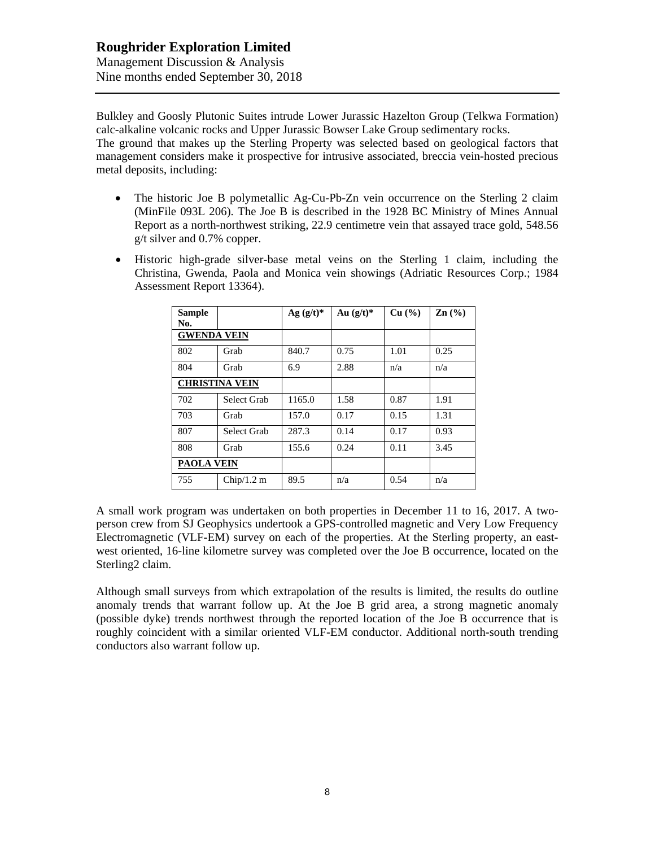Bulkley and Goosly Plutonic Suites intrude Lower Jurassic Hazelton Group (Telkwa Formation) calc-alkaline volcanic rocks and Upper Jurassic Bowser Lake Group sedimentary rocks. The ground that makes up the Sterling Property was selected based on geological factors that management considers make it prospective for intrusive associated, breccia vein-hosted precious metal deposits, including:

- The historic Joe B polymetallic Ag-Cu-Pb-Zn vein occurrence on the Sterling 2 claim (MinFile 093L 206). The Joe B is described in the 1928 BC Ministry of Mines Annual Report as a north-northwest striking, 22.9 centimetre vein that assayed trace gold, 548.56 g/t silver and 0.7% copper.
- Historic high-grade silver-base metal veins on the Sterling 1 claim, including the Christina, Gwenda, Paola and Monica vein showings (Adriatic Resources Corp.; 1984 Assessment Report 13364).

| Sample<br>No.         |             | Ag $(g/t)^*$ | Au $(g/t)^*$ | Cu (%) | $\mathbf{Zn}$ (%) |
|-----------------------|-------------|--------------|--------------|--------|-------------------|
| <b>GWENDA VEIN</b>    |             |              |              |        |                   |
| 802                   | Grab        | 840.7        | 0.75         | 1.01   | 0.25              |
| 804                   | Grab        | 6.9          | 2.88         | n/a    | n/a               |
| <b>CHRISTINA VEIN</b> |             |              |              |        |                   |
| 702                   | Select Grab | 1165.0       | 1.58         | 0.87   | 1.91              |
| 703                   | Grab        | 157.0        | 0.17         | 0.15   | 1.31              |
| 807                   | Select Grab | 287.3        | 0.14         | 0.17   | 0.93              |
| 808                   | Grab        | 155.6        | 0.24         | 0.11   | 3.45              |
| <b>PAOLA VEIN</b>     |             |              |              |        |                   |
| 755                   | Chip/1.2 m  | 89.5         | n/a          | 0.54   | n/a               |

A small work program was undertaken on both properties in December 11 to 16, 2017. A twoperson crew from SJ Geophysics undertook a GPS-controlled magnetic and Very Low Frequency Electromagnetic (VLF-EM) survey on each of the properties. At the Sterling property, an eastwest oriented, 16-line kilometre survey was completed over the Joe B occurrence, located on the Sterling2 claim.

Although small surveys from which extrapolation of the results is limited, the results do outline anomaly trends that warrant follow up. At the Joe B grid area, a strong magnetic anomaly (possible dyke) trends northwest through the reported location of the Joe B occurrence that is roughly coincident with a similar oriented VLF-EM conductor. Additional north-south trending conductors also warrant follow up.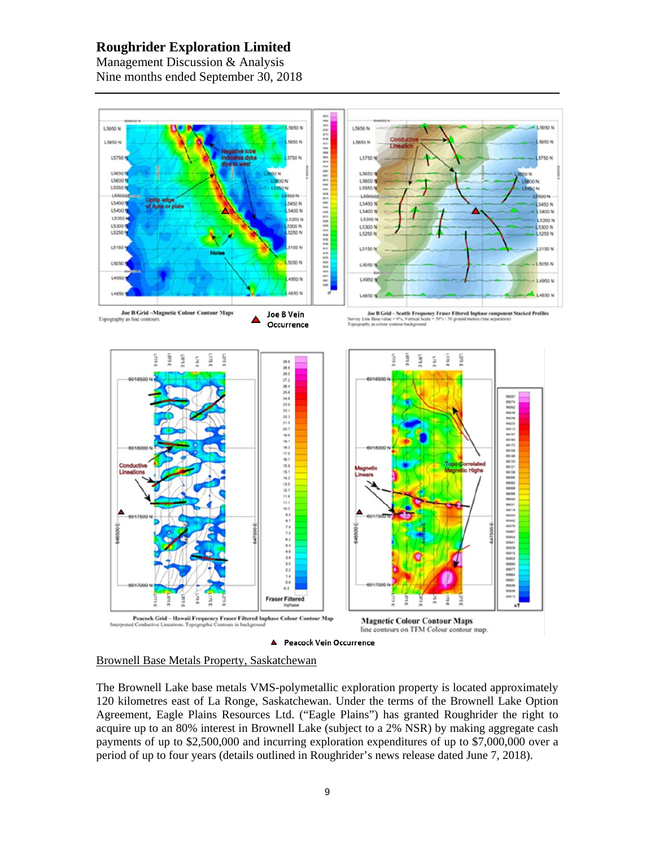# **Roughrider Exploration Limited**

Management Discussion & Analysis Nine months ended September 30, 2018





The Brownell Lake base metals VMS-polymetallic exploration property is located approximately 120 kilometres east of La Ronge, Saskatchewan. Under the terms of the Brownell Lake Option Agreement, Eagle Plains Resources Ltd. ("Eagle Plains") has granted Roughrider the right to acquire up to an 80% interest in Brownell Lake (subject to a 2% NSR) by making aggregate cash payments of up to \$2,500,000 and incurring exploration expenditures of up to \$7,000,000 over a period of up to four years (details outlined in Roughrider's news release dated June 7, 2018).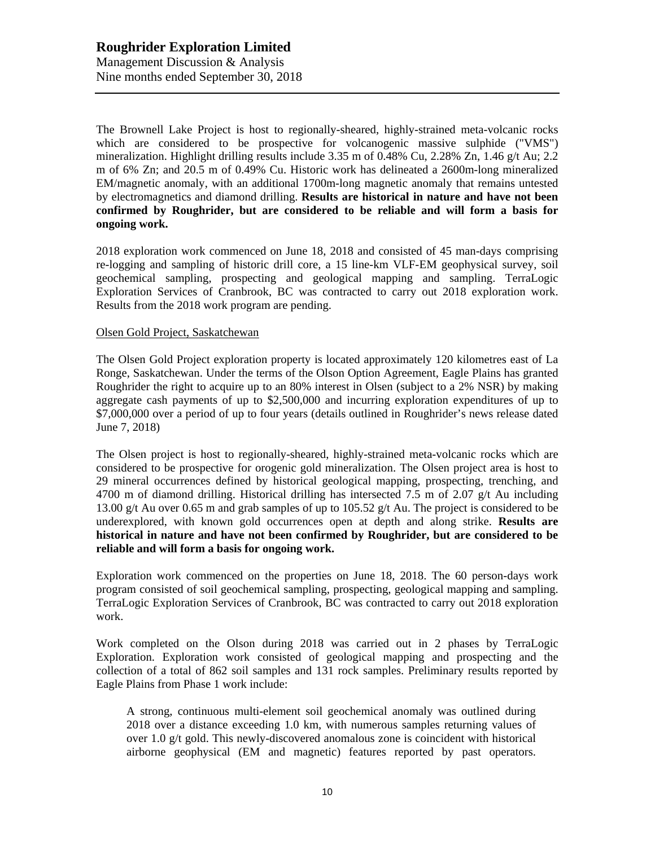The Brownell Lake Project is host to regionally-sheared, highly-strained meta-volcanic rocks which are considered to be prospective for volcanogenic massive sulphide ("VMS") mineralization. Highlight drilling results include 3.35 m of 0.48% Cu, 2.28% Zn, 1.46 g/t Au; 2.2 m of 6% Zn; and 20.5 m of 0.49% Cu. Historic work has delineated a 2600m-long mineralized EM/magnetic anomaly, with an additional 1700m-long magnetic anomaly that remains untested by electromagnetics and diamond drilling. **Results are historical in nature and have not been confirmed by Roughrider, but are considered to be reliable and will form a basis for ongoing work.**

2018 exploration work commenced on June 18, 2018 and consisted of 45 man-days comprising re-logging and sampling of historic drill core, a 15 line-km VLF-EM geophysical survey, soil geochemical sampling, prospecting and geological mapping and sampling. TerraLogic Exploration Services of Cranbrook, BC was contracted to carry out 2018 exploration work. Results from the 2018 work program are pending.

#### Olsen Gold Project, Saskatchewan

The Olsen Gold Project exploration property is located approximately 120 kilometres east of La Ronge, Saskatchewan. Under the terms of the Olson Option Agreement, Eagle Plains has granted Roughrider the right to acquire up to an 80% interest in Olsen (subject to a 2% NSR) by making aggregate cash payments of up to \$2,500,000 and incurring exploration expenditures of up to \$7,000,000 over a period of up to four years (details outlined in Roughrider's news release dated June 7, 2018)

The Olsen project is host to regionally-sheared, highly-strained meta-volcanic rocks which are considered to be prospective for orogenic gold mineralization. The Olsen project area is host to 29 mineral occurrences defined by historical geological mapping, prospecting, trenching, and 4700 m of diamond drilling. Historical drilling has intersected 7.5 m of 2.07 g/t Au including 13.00 g/t Au over 0.65 m and grab samples of up to 105.52 g/t Au. The project is considered to be underexplored, with known gold occurrences open at depth and along strike. **Results are historical in nature and have not been confirmed by Roughrider, but are considered to be reliable and will form a basis for ongoing work.**

Exploration work commenced on the properties on June 18, 2018. The 60 person-days work program consisted of soil geochemical sampling, prospecting, geological mapping and sampling. TerraLogic Exploration Services of Cranbrook, BC was contracted to carry out 2018 exploration work.

Work completed on the Olson during 2018 was carried out in 2 phases by TerraLogic Exploration. Exploration work consisted of geological mapping and prospecting and the collection of a total of 862 soil samples and 131 rock samples. Preliminary results reported by Eagle Plains from Phase 1 work include:

A strong, continuous multi-element soil geochemical anomaly was outlined during 2018 over a distance exceeding 1.0 km, with numerous samples returning values of over 1.0 g/t gold. This newly-discovered anomalous zone is coincident with historical airborne geophysical (EM and magnetic) features reported by past operators.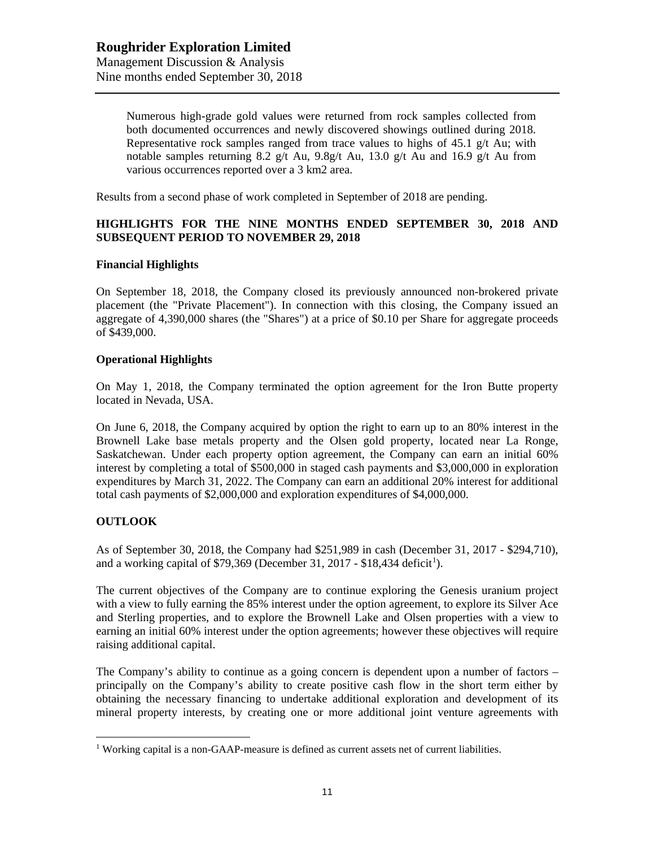Numerous high-grade gold values were returned from rock samples collected from both documented occurrences and newly discovered showings outlined during 2018. Representative rock samples ranged from trace values to highs of  $45.1 \text{ g/t}$  Au; with notable samples returning 8.2 g/t Au, 9.8g/t Au, 13.0 g/t Au and 16.9 g/t Au from various occurrences reported over a 3 km2 area.

Results from a second phase of work completed in September of 2018 are pending.

## **HIGHLIGHTS FOR THE NINE MONTHS ENDED SEPTEMBER 30, 2018 AND SUBSEQUENT PERIOD TO NOVEMBER 29, 2018**

### **Financial Highlights**

On September 18, 2018, the Company closed its previously announced non-brokered private placement (the "Private Placement"). In connection with this closing, the Company issued an aggregate of 4,390,000 shares (the "Shares") at a price of \$0.10 per Share for aggregate proceeds of \$439,000.

#### **Operational Highlights**

On May 1, 2018, the Company terminated the option agreement for the Iron Butte property located in Nevada, USA.

On June 6, 2018, the Company acquired by option the right to earn up to an 80% interest in the Brownell Lake base metals property and the Olsen gold property, located near La Ronge, Saskatchewan. Under each property option agreement, the Company can earn an initial 60% interest by completing a total of \$500,000 in staged cash payments and \$3,000,000 in exploration expenditures by March 31, 2022. The Company can earn an additional 20% interest for additional total cash payments of \$2,000,000 and exploration expenditures of \$4,000,000.

### **OUTLOOK**

As of September 30, 2018, the Company had \$251,989 in cash (December 31, 2017 - \$294,710), and a working capital of \$79,369 (December 3[1](#page-10-0), 2017 - \$18,434 deficit<sup>1</sup>).

The current objectives of the Company are to continue exploring the Genesis uranium project with a view to fully earning the 85% interest under the option agreement, to explore its Silver Ace and Sterling properties, and to explore the Brownell Lake and Olsen properties with a view to earning an initial 60% interest under the option agreements; however these objectives will require raising additional capital.

The Company's ability to continue as a going concern is dependent upon a number of factors – principally on the Company's ability to create positive cash flow in the short term either by obtaining the necessary financing to undertake additional exploration and development of its mineral property interests, by creating one or more additional joint venture agreements with

<span id="page-10-0"></span><sup>&</sup>lt;sup>1</sup> Working capital is a non-GAAP-measure is defined as current assets net of current liabilities.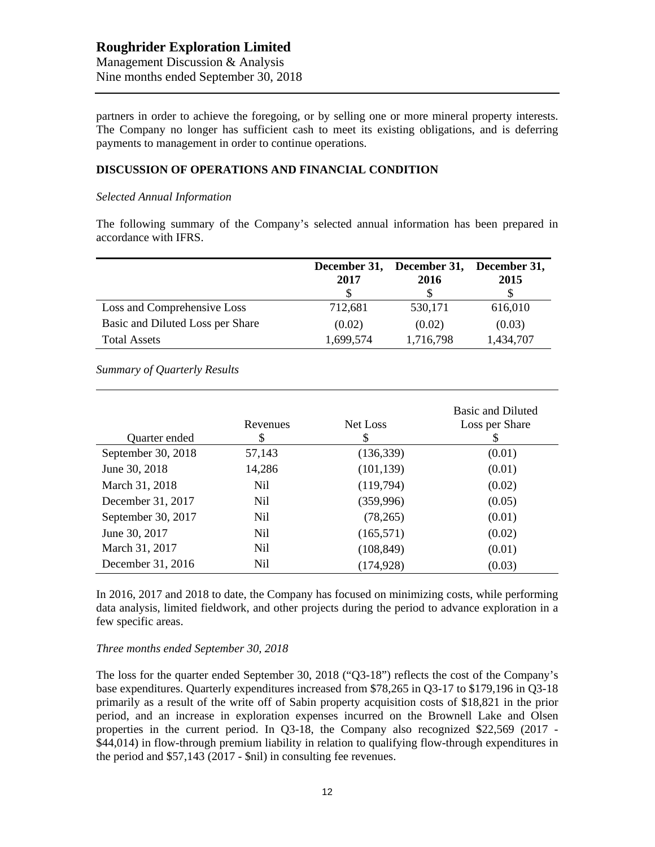partners in order to achieve the foregoing, or by selling one or more mineral property interests. The Company no longer has sufficient cash to meet its existing obligations, and is deferring payments to management in order to continue operations.

## **DISCUSSION OF OPERATIONS AND FINANCIAL CONDITION**

#### *Selected Annual Information*

The following summary of the Company's selected annual information has been prepared in accordance with IFRS.

|                                  | 2017      | December 31, December 31, December 31,<br>2016 | 2015      |
|----------------------------------|-----------|------------------------------------------------|-----------|
| Loss and Comprehensive Loss      | 712,681   | 530,171                                        | 616,010   |
| Basic and Diluted Loss per Share | (0.02)    | (0.02)                                         | (0.03)    |
| <b>Total Assets</b>              | 1,699,574 | 1,716,798                                      | 1,434,707 |

*Summary of Quarterly Results*

| Quarter ended      | Revenues<br>\$  | Net Loss<br>S | <b>Basic and Diluted</b><br>Loss per Share<br>S |
|--------------------|-----------------|---------------|-------------------------------------------------|
| September 30, 2018 | 57,143          | (136, 339)    | (0.01)                                          |
| June 30, 2018      | 14,286          | (101, 139)    | (0.01)                                          |
| March 31, 2018     | Nil             | (119,794)     | (0.02)                                          |
| December 31, 2017  | N <sub>il</sub> | (359, 996)    | (0.05)                                          |
| September 30, 2017 | Nil             | (78, 265)     | (0.01)                                          |
| June 30, 2017      | N <sub>il</sub> | (165, 571)    | (0.02)                                          |
| March 31, 2017     | N <sub>il</sub> | (108, 849)    | (0.01)                                          |
| December 31, 2016  | Nil             | (174, 928)    | (0.03)                                          |

In 2016, 2017 and 2018 to date, the Company has focused on minimizing costs, while performing data analysis, limited fieldwork, and other projects during the period to advance exploration in a few specific areas.

### *Three months ended September 30, 2018*

The loss for the quarter ended September 30, 2018 ("Q3-18") reflects the cost of the Company's base expenditures. Quarterly expenditures increased from \$78,265 in Q3-17 to \$179,196 in Q3-18 primarily as a result of the write off of Sabin property acquisition costs of \$18,821 in the prior period, and an increase in exploration expenses incurred on the Brownell Lake and Olsen properties in the current period. In Q3-18, the Company also recognized \$22,569 (2017 - \$44,014) in flow-through premium liability in relation to qualifying flow-through expenditures in the period and \$57,143 (2017 - \$nil) in consulting fee revenues.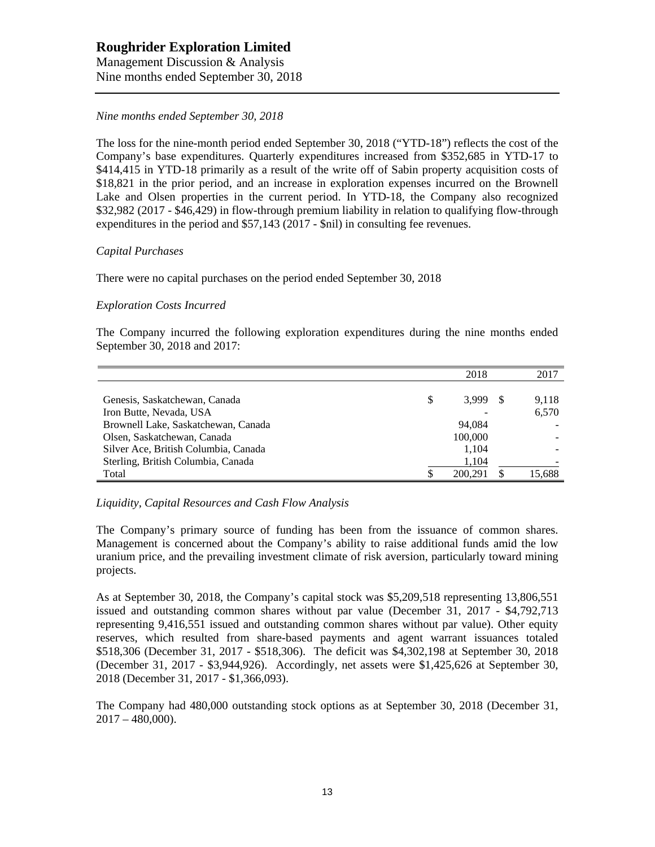# **Roughrider Exploration Limited**

Management Discussion & Analysis Nine months ended September 30, 2018

## *Nine months ended September 30, 2018*

The loss for the nine-month period ended September 30, 2018 ("YTD-18") reflects the cost of the Company's base expenditures. Quarterly expenditures increased from \$352,685 in YTD-17 to \$414,415 in YTD-18 primarily as a result of the write off of Sabin property acquisition costs of \$18,821 in the prior period, and an increase in exploration expenses incurred on the Brownell Lake and Olsen properties in the current period. In YTD-18, the Company also recognized \$32,982 (2017 - \$46,429) in flow-through premium liability in relation to qualifying flow-through expenditures in the period and \$57,143 (2017 - \$nil) in consulting fee revenues.

### *Capital Purchases*

There were no capital purchases on the period ended September 30, 2018

### *Exploration Costs Incurred*

The Company incurred the following exploration expenditures during the nine months ended September 30, 2018 and 2017:

|                                      |   | 2018    | 2017   |
|--------------------------------------|---|---------|--------|
|                                      |   |         |        |
| Genesis, Saskatchewan, Canada        | S | 3,999   | 9,118  |
| Iron Butte, Nevada, USA              |   |         | 6,570  |
| Brownell Lake, Saskatchewan, Canada  |   | 94.084  |        |
| Olsen, Saskatchewan, Canada          |   | 100,000 |        |
| Silver Ace, British Columbia, Canada |   | 1.104   |        |
| Sterling, British Columbia, Canada   |   | 1,104   |        |
| Total                                |   | 200.291 | 15,688 |

*Liquidity, Capital Resources and Cash Flow Analysis*

The Company's primary source of funding has been from the issuance of common shares. Management is concerned about the Company's ability to raise additional funds amid the low uranium price, and the prevailing investment climate of risk aversion, particularly toward mining projects.

As at September 30, 2018, the Company's capital stock was \$5,209,518 representing 13,806,551 issued and outstanding common shares without par value (December 31, 2017 - \$4,792,713 representing 9,416,551 issued and outstanding common shares without par value). Other equity reserves, which resulted from share-based payments and agent warrant issuances totaled \$518,306 (December 31, 2017 - \$518,306). The deficit was \$4,302,198 at September 30, 2018 (December 31, 2017 - \$3,944,926). Accordingly, net assets were \$1,425,626 at September 30, 2018 (December 31, 2017 - \$1,366,093).

The Company had 480,000 outstanding stock options as at September 30, 2018 (December 31,  $2017 - 480,000$ .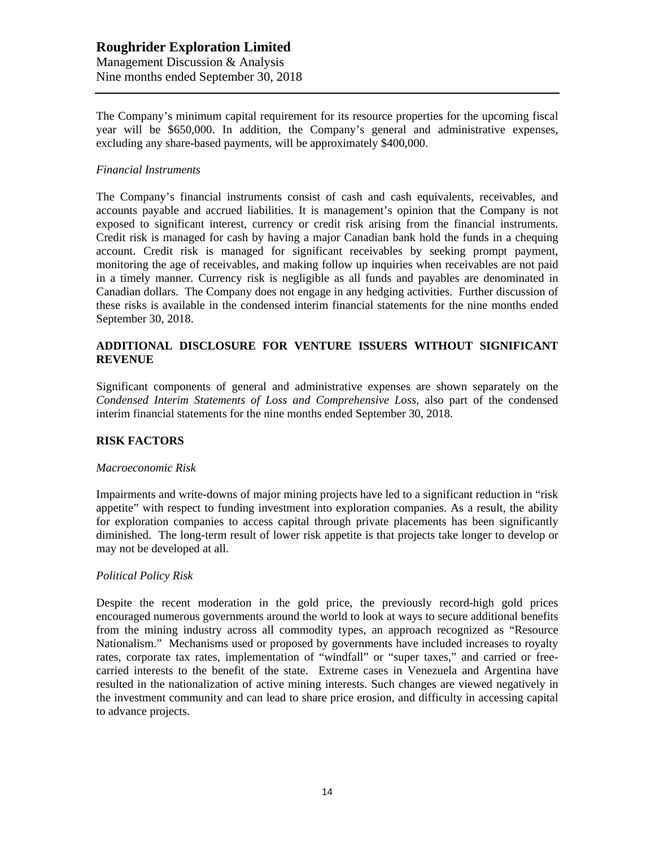## **Roughrider Exploration Limited** Management Discussion & Analysis Nine months ended September 30, 2018

The Company's minimum capital requirement for its resource properties for the upcoming fiscal year will be \$650,000. In addition, the Company's general and administrative expenses, excluding any share-based payments, will be approximately \$400,000.

### *Financial Instruments*

The Company's financial instruments consist of cash and cash equivalents, receivables, and accounts payable and accrued liabilities. It is management's opinion that the Company is not exposed to significant interest, currency or credit risk arising from the financial instruments. Credit risk is managed for cash by having a major Canadian bank hold the funds in a chequing account. Credit risk is managed for significant receivables by seeking prompt payment, monitoring the age of receivables, and making follow up inquiries when receivables are not paid in a timely manner. Currency risk is negligible as all funds and payables are denominated in Canadian dollars. The Company does not engage in any hedging activities. Further discussion of these risks is available in the condensed interim financial statements for the nine months ended September 30, 2018.

### **ADDITIONAL DISCLOSURE FOR VENTURE ISSUERS WITHOUT SIGNIFICANT REVENUE**

Significant components of general and administrative expenses are shown separately on the *Condensed Interim Statements of Loss and Comprehensive Loss,* also part of the condensed interim financial statements for the nine months ended September 30, 2018.

### **RISK FACTORS**

#### *Macroeconomic Risk*

Impairments and write-downs of major mining projects have led to a significant reduction in "risk appetite" with respect to funding investment into exploration companies. As a result, the ability for exploration companies to access capital through private placements has been significantly diminished. The long-term result of lower risk appetite is that projects take longer to develop or may not be developed at all.

### *Political Policy Risk*

Despite the recent moderation in the gold price, the previously record-high gold prices encouraged numerous governments around the world to look at ways to secure additional benefits from the mining industry across all commodity types, an approach recognized as "Resource Nationalism." Mechanisms used or proposed by governments have included increases to royalty rates, corporate tax rates, implementation of "windfall" or "super taxes," and carried or freecarried interests to the benefit of the state. Extreme cases in Venezuela and Argentina have resulted in the nationalization of active mining interests. Such changes are viewed negatively in the investment community and can lead to share price erosion, and difficulty in accessing capital to advance projects.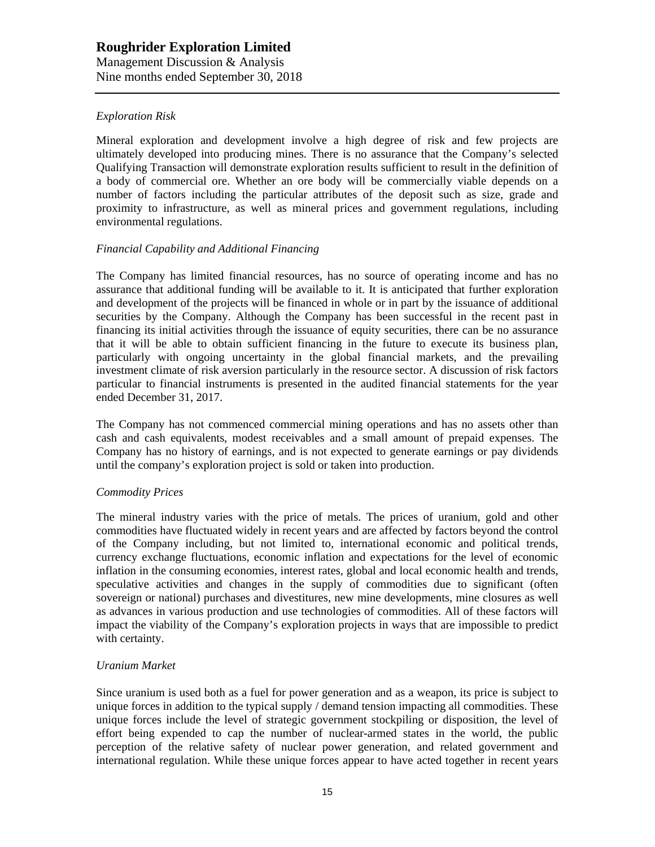## *Exploration Risk*

Mineral exploration and development involve a high degree of risk and few projects are ultimately developed into producing mines. There is no assurance that the Company's selected Qualifying Transaction will demonstrate exploration results sufficient to result in the definition of a body of commercial ore. Whether an ore body will be commercially viable depends on a number of factors including the particular attributes of the deposit such as size, grade and proximity to infrastructure, as well as mineral prices and government regulations, including environmental regulations.

### *Financial Capability and Additional Financing*

The Company has limited financial resources, has no source of operating income and has no assurance that additional funding will be available to it. It is anticipated that further exploration and development of the projects will be financed in whole or in part by the issuance of additional securities by the Company. Although the Company has been successful in the recent past in financing its initial activities through the issuance of equity securities, there can be no assurance that it will be able to obtain sufficient financing in the future to execute its business plan, particularly with ongoing uncertainty in the global financial markets, and the prevailing investment climate of risk aversion particularly in the resource sector. A discussion of risk factors particular to financial instruments is presented in the audited financial statements for the year ended December 31, 2017.

The Company has not commenced commercial mining operations and has no assets other than cash and cash equivalents, modest receivables and a small amount of prepaid expenses. The Company has no history of earnings, and is not expected to generate earnings or pay dividends until the company's exploration project is sold or taken into production.

### *Commodity Prices*

The mineral industry varies with the price of metals. The prices of uranium, gold and other commodities have fluctuated widely in recent years and are affected by factors beyond the control of the Company including, but not limited to, international economic and political trends, currency exchange fluctuations, economic inflation and expectations for the level of economic inflation in the consuming economies, interest rates, global and local economic health and trends, speculative activities and changes in the supply of commodities due to significant (often sovereign or national) purchases and divestitures, new mine developments, mine closures as well as advances in various production and use technologies of commodities. All of these factors will impact the viability of the Company's exploration projects in ways that are impossible to predict with certainty.

#### *Uranium Market*

Since uranium is used both as a fuel for power generation and as a weapon, its price is subject to unique forces in addition to the typical supply / demand tension impacting all commodities. These unique forces include the level of strategic government stockpiling or disposition, the level of effort being expended to cap the number of nuclear-armed states in the world, the public perception of the relative safety of nuclear power generation, and related government and international regulation. While these unique forces appear to have acted together in recent years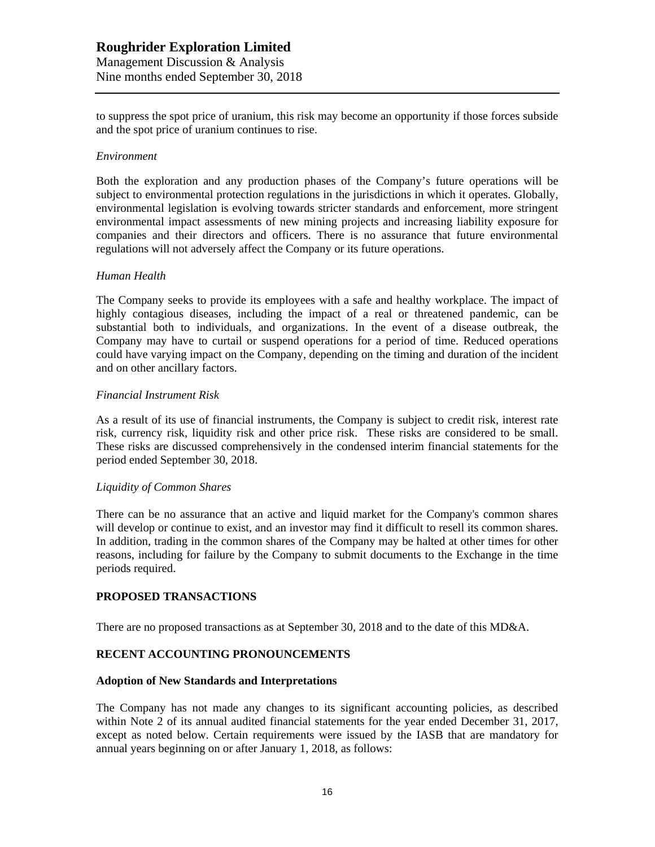to suppress the spot price of uranium, this risk may become an opportunity if those forces subside and the spot price of uranium continues to rise.

#### *Environment*

Both the exploration and any production phases of the Company's future operations will be subject to environmental protection regulations in the jurisdictions in which it operates. Globally, environmental legislation is evolving towards stricter standards and enforcement, more stringent environmental impact assessments of new mining projects and increasing liability exposure for companies and their directors and officers. There is no assurance that future environmental regulations will not adversely affect the Company or its future operations.

#### *Human Health*

The Company seeks to provide its employees with a safe and healthy workplace. The impact of highly contagious diseases, including the impact of a real or threatened pandemic, can be substantial both to individuals, and organizations. In the event of a disease outbreak, the Company may have to curtail or suspend operations for a period of time. Reduced operations could have varying impact on the Company, depending on the timing and duration of the incident and on other ancillary factors.

#### *Financial Instrument Risk*

As a result of its use of financial instruments, the Company is subject to credit risk, interest rate risk, currency risk, liquidity risk and other price risk. These risks are considered to be small. These risks are discussed comprehensively in the condensed interim financial statements for the period ended September 30, 2018.

#### *Liquidity of Common Shares*

There can be no assurance that an active and liquid market for the Company's common shares will develop or continue to exist, and an investor may find it difficult to resell its common shares. In addition, trading in the common shares of the Company may be halted at other times for other reasons, including for failure by the Company to submit documents to the Exchange in the time periods required.

## **PROPOSED TRANSACTIONS**

There are no proposed transactions as at September 30, 2018 and to the date of this MD&A.

### **RECENT ACCOUNTING PRONOUNCEMENTS**

#### **Adoption of New Standards and Interpretations**

The Company has not made any changes to its significant accounting policies, as described within Note 2 of its annual audited financial statements for the year ended December 31, 2017, except as noted below. Certain requirements were issued by the IASB that are mandatory for annual years beginning on or after January 1, 2018, as follows: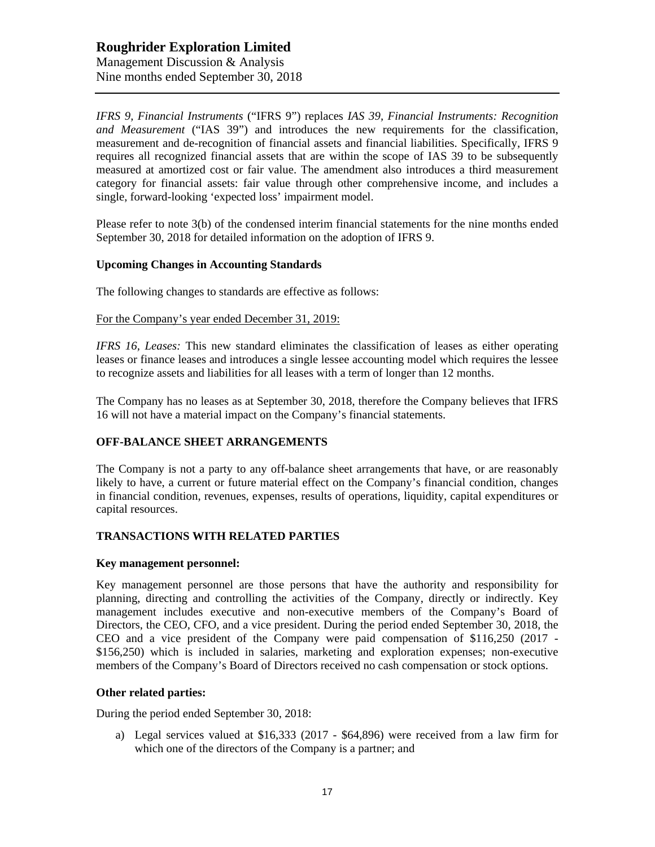## **Roughrider Exploration Limited** Management Discussion & Analysis Nine months ended September 30, 2018

*IFRS 9, Financial Instruments* ("IFRS 9") replaces *IAS 39, Financial Instruments: Recognition and Measurement* ("IAS 39") and introduces the new requirements for the classification, measurement and de-recognition of financial assets and financial liabilities. Specifically, IFRS 9 requires all recognized financial assets that are within the scope of IAS 39 to be subsequently measured at amortized cost or fair value. The amendment also introduces a third measurement category for financial assets: fair value through other comprehensive income, and includes a single, forward-looking 'expected loss' impairment model.

Please refer to note 3(b) of the condensed interim financial statements for the nine months ended September 30, 2018 for detailed information on the adoption of IFRS 9.

### **Upcoming Changes in Accounting Standards**

The following changes to standards are effective as follows:

#### For the Company's year ended December 31, 2019:

*IFRS 16, Leases:* This new standard eliminates the classification of leases as either operating leases or finance leases and introduces a single lessee accounting model which requires the lessee to recognize assets and liabilities for all leases with a term of longer than 12 months.

The Company has no leases as at September 30, 2018, therefore the Company believes that IFRS 16 will not have a material impact on the Company's financial statements.

### **OFF-BALANCE SHEET ARRANGEMENTS**

The Company is not a party to any off-balance sheet arrangements that have, or are reasonably likely to have, a current or future material effect on the Company's financial condition, changes in financial condition, revenues, expenses, results of operations, liquidity, capital expenditures or capital resources.

### **TRANSACTIONS WITH RELATED PARTIES**

#### **Key management personnel:**

Key management personnel are those persons that have the authority and responsibility for planning, directing and controlling the activities of the Company, directly or indirectly. Key management includes executive and non-executive members of the Company's Board of Directors, the CEO, CFO, and a vice president. During the period ended September 30, 2018, the CEO and a vice president of the Company were paid compensation of \$116,250 (2017 - \$156,250) which is included in salaries, marketing and exploration expenses; non-executive members of the Company's Board of Directors received no cash compensation or stock options.

#### **Other related parties:**

During the period ended September 30, 2018:

a) Legal services valued at \$16,333 (2017 - \$64,896) were received from a law firm for which one of the directors of the Company is a partner; and